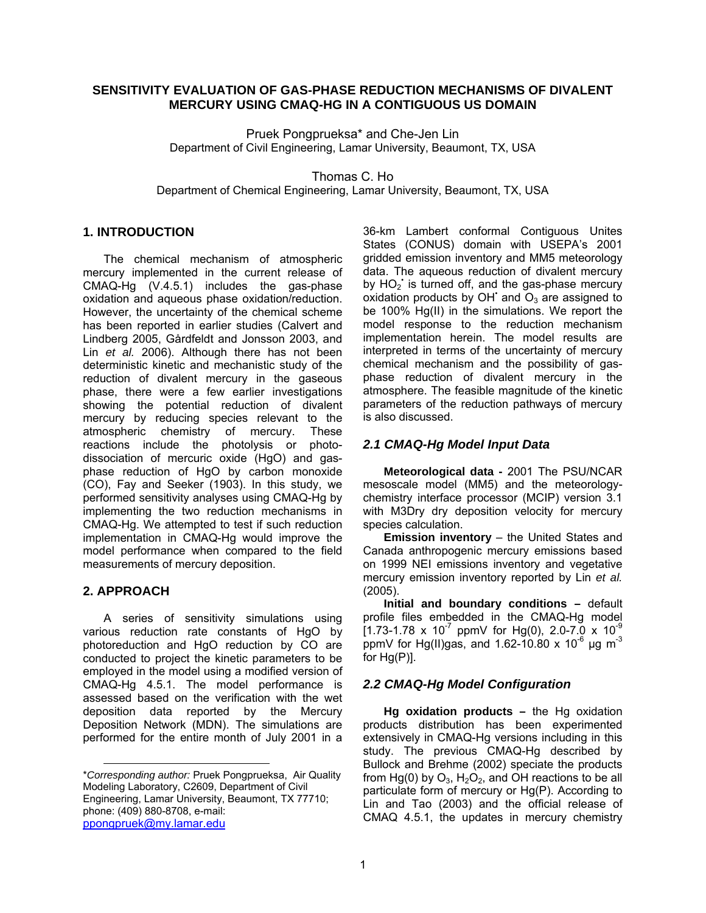### **SENSITIVITY EVALUATION OF GAS-PHASE REDUCTION MECHANISMS OF DIVALENT MERCURY USING CMAQ-HG IN A CONTIGUOUS US DOMAIN**

Pruek Pongprueksa\* and Che-Jen Lin Department of Civil Engineering, Lamar University, Beaumont, TX, USA

Thomas C. Ho

Department of Chemical Engineering, Lamar University, Beaumont, TX, USA

## **[1.](#page-0-0) INTRODUCTION**

The chemical mechanism of atmospheric mercury implemented in the current release of CMAQ-Hg (V.4.5.1) includes the gas-phase oxidation and aqueous phase oxidation/reduction. However, the uncertainty of the chemical scheme has been reported in earlier studies (Calvert and Lindberg 2005, Gårdfeldt and Jonsson 2003, and Lin *et al.* 2006). Although there has not been deterministic kinetic and mechanistic study of the reduction of divalent mercury in the gaseous phase, there were a few earlier investigations showing the potential reduction of divalent mercury by reducing species relevant to the atmospheric chemistry of mercury. These reactions include the photolysis or photodissociation of mercuric oxide (HgO) and gasphase reduction of HgO by carbon monoxide (CO), Fay and Seeker (1903). In this study, we performed sensitivity analyses using CMAQ-Hg by implementing the two reduction mechanisms in CMAQ-Hg. We attempted to test if such reduction implementation in CMAQ-Hg would improve the model performance when compared to the field measurements of mercury deposition.

# **2. APPROACH**

l

A series of sensitivity simulations using various reduction rate constants of HgO by photoreduction and HgO reduction by CO are conducted to project the kinetic parameters to be employed in the model using a modified version of CMAQ-Hg 4.5.1. The model performance is assessed based on the verification with the wet deposition data reported by the Mercury Deposition Network (MDN). The simulations are performed for the entire month of July 2001 in a

36-km Lambert conformal Contiguous Unites States (CONUS) domain with USEPA's 2001 gridded emission inventory and MM5 meteorology data. The aqueous reduction of divalent mercury by  $HO_2$  is turned off, and the gas-phase mercury oxidation products by OH and  $O_3$  are assigned to be 100% Hg(II) in the simulations. We report the model response to the reduction mechanism implementation herein. The model results are interpreted in terms of the uncertainty of mercury chemical mechanism and the possibility of gasphase reduction of divalent mercury in the atmosphere. The feasible magnitude of the kinetic parameters of the reduction pathways of mercury is also discussed.

## *2.1 CMAQ-Hg Model Input Data*

**Meteorological data -** 2001 The PSU/NCAR mesoscale model (MM5) and the meteorologychemistry interface processor (MCIP) version 3.1 with M3Dry dry deposition velocity for mercury species calculation.

**Emission inventory** – the United States and Canada anthropogenic mercury emissions based on 1999 NEI emissions inventory and vegetative mercury emission inventory reported by Lin *et al.* (2005).

**Initial and boundary conditions –** default profile files embedded in the CMAQ-Hg model  $[1.73-1.78 \times 10^{-7}$  ppmV for Hg(0), 2.0-7.0 x 10<sup>-9</sup> ppmV for Hg(II)gas, and 1.62-10.80 x 10<sup>-6</sup> µg m<sup>-3</sup> for  $Hg(P)$ ].

### *2.2 CMAQ-Hg Model Configuration*

**Hg oxidation products –** the Hg oxidation products distribution has been experimented extensively in CMAQ-Hg versions including in this study. The previous CMAQ-Hg described by Bullock and Brehme (2002) speciate the products from Hg(0) by  $O_3$ , H<sub>2</sub>O<sub>2</sub>, and OH reactions to be all particulate form of mercury or Hg(P). According to Lin and Tao (2003) and the official release of CMAQ 4.5.1, the updates in mercury chemistry

<span id="page-0-0"></span><sup>\*</sup>*Corresponding author:* Pruek Pongprueksa, Air Quality Modeling Laboratory, C2609, Department of Civil Engineering, Lamar University, Beaumont, TX 77710; phone: (409) 880-8708, e-mail: [ppongpruek@my.lamar.edu](mailto:ppongpruek@my.lamar.edu)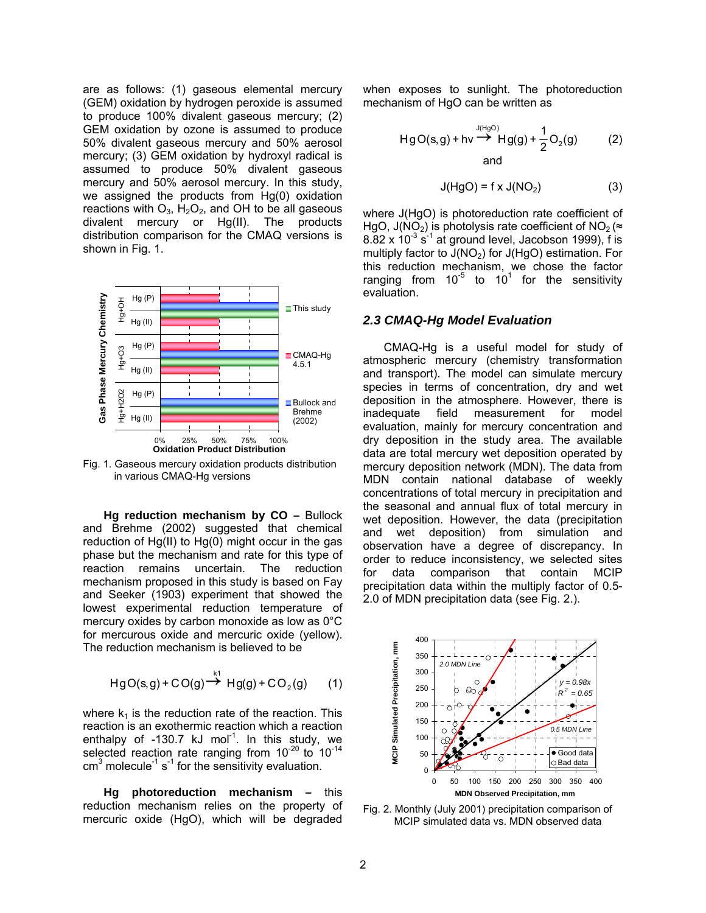are as follows: (1) gaseous elemental mercury (GEM) oxidation by hydrogen peroxide is assumed to produce 100% divalent gaseous mercury; (2) GEM oxidation by ozone is assumed to produce 50% divalent gaseous mercury and 50% aerosol mercury; (3) GEM oxidation by hydroxyl radical is assumed to produce 50% divalent gaseous mercury and 50% aerosol mercury. In this study, we assigned the products from Hg(0) oxidation reactions with  $O_3$ ,  $H_2O_2$ , and OH to be all gaseous divalent mercury or Hg(II). The products distribution comparison for the CMAQ versions is shown in Fig. 1.



Fig. 1. Gaseous mercury oxidation products distribution in various CMAQ-Hg versions

**Hg reduction mechanism by CO –** Bullock and Brehme (2002) suggested that chemical reduction of Hg(II) to Hg(0) might occur in the gas phase but the mechanism and rate for this type of reaction remains uncertain. The reduction mechanism proposed in this study is based on Fay and Seeker (1903) experiment that showed the lowest experimental reduction temperature of mercury oxides by carbon monoxide as low as 0°C for mercurous oxide and mercuric oxide (yellow). The reduction mechanism is believed to be

$$
HgO(s,g) + CO(g) \stackrel{k1}{\rightarrow} Hg(g) + CO_2(g) \qquad (1)
$$

where  $k_1$  is the reduction rate of the reaction. This reaction is an exothermic reaction which a reaction enthalpy of  $-130.7$  kJ mol<sup>-1</sup>. In this study, we selected reaction rate ranging from  $10^{-20}$  to  $10^{-14}$  $cm<sup>3</sup>$  molecule<sup>-1</sup> s<sup>-1</sup> for the sensitivity evaluation.

**Hg photoreduction mechanism –** this reduction mechanism relies on the property of mercuric oxide (HgO), which will be degraded when exposes to sunlight. The photoreduction mechanism of HgO can be written as

$$
HgO(s,g) + hv \xrightarrow{J(HgO)} Hg(g) + \frac{1}{2}O_2(g)
$$
 (2) and

$$
J(HgO) = f \times J(NO2)
$$
 (3)

where J(HgO) is photoreduction rate coefficient of HgO, J(NO<sub>2</sub>) is photolysis rate coefficient of NO<sub>2</sub> ( $\approx$  $8.82 \times 10^{-3}$  s<sup>-1</sup> at ground level, Jacobson 1999), f is multiply factor to  $J(NO<sub>2</sub>)$  for  $J(HgO)$  estimation. For this reduction mechanism, we chose the factor ranging from  $10^{-5}$  to  $10^{1}$  for the sensitivity evaluation.

#### *2.3 CMAQ-Hg Model Evaluation*

CMAQ-Hg is a useful model for study of atmospheric mercury (chemistry transformation and transport). The model can simulate mercury species in terms of concentration, dry and wet deposition in the atmosphere. However, there is inadequate field measurement for model evaluation, mainly for mercury concentration and dry deposition in the study area. The available data are total mercury wet deposition operated by mercury deposition network (MDN). The data from MDN contain national database of weekly concentrations of total mercury in precipitation and the seasonal and annual flux of total mercury in wet deposition. However, the data (precipitation and wet deposition) from simulation and observation have a degree of discrepancy. In order to reduce inconsistency, we selected sites for data comparison that contain MCIP precipitation data within the multiply factor of 0.5- 2.0 of MDN precipitation data (see Fig. 2.).



Fig. 2. Monthly (July 2001) precipitation comparison of MCIP simulated data vs. MDN observed data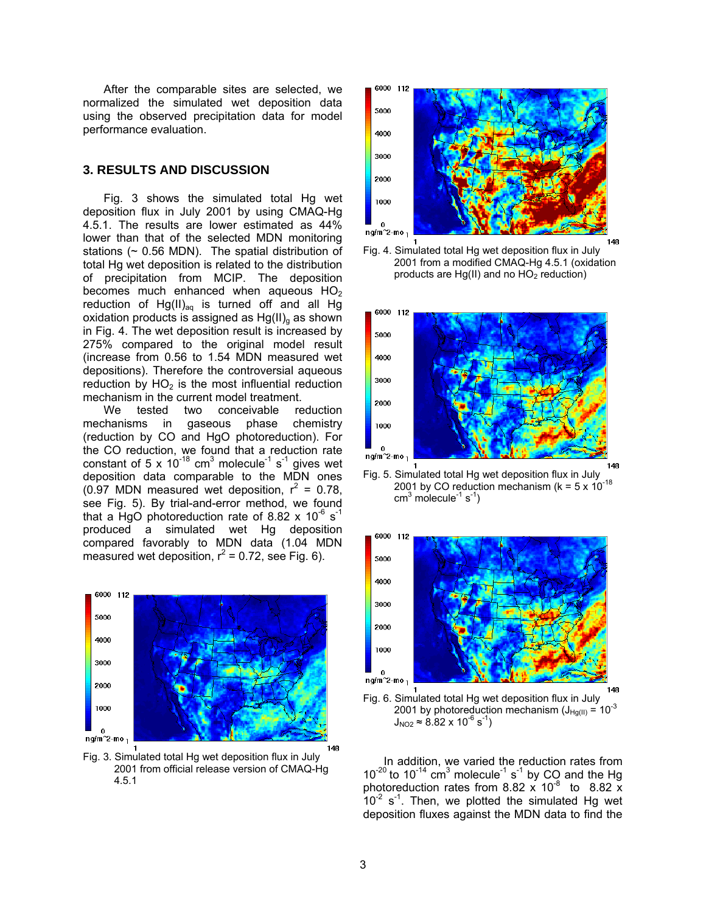After the comparable sites are selected, we normalized the simulated wet deposition data using the observed precipitation data for model performance evaluation.

### **3. RESULTS AND DISCUSSION**

Fig. 3 shows the simulated total Hg wet deposition flux in July 2001 by using CMAQ-Hg 4.5.1. The results are lower estimated as 44% lower than that of the selected MDN monitoring stations  $($   $\sim$  0.56 MDN). The spatial distribution of total Hg wet deposition is related to the distribution of precipitation from MCIP. The deposition becomes much enhanced when aqueous  $HO<sub>2</sub>$ reduction of  $Hg(II)_{aq}$  is turned off and all Hg oxidation products is assigned as  $Hg(II)_{q}$  as shown in Fig. 4. The wet deposition result is increased by 275% compared to the original model result (increase from 0.56 to 1.54 MDN measured wet depositions). Therefore the controversial aqueous reduction by  $HO<sub>2</sub>$  is the most influential reduction mechanism in the current model treatment.

We tested two conceivable reduction mechanisms in gaseous phase chemistry (reduction by CO and HgO photoreduction). For the CO reduction, we found that a reduction rate constant of 5 x 10<sup>-18</sup> cm<sup>3</sup> molecule<sup>-1</sup> s<sup>-1</sup> gives wet deposition data comparable to the MDN ones (0.97 MDN measured wet deposition,  $r^2 = 0.78$ , see Fig. 5). By trial-and-error method, we found that a HgO photoreduction rate of 8.82 x  $10^{-6}$  s<sup>-1</sup> produced a simulated wet Hg deposition compared favorably to MDN data (1.04 MDN measured wet deposition,  $r^2$  = 0.72, see Fig. 6).



Fig. 3. Simulated total Hg wet deposition flux in July 2001 from official release version of CMAQ-Hg 4.5.1



Fig. 4. Simulated total Hg wet deposition flux in July 2001 from a modified CMAQ-Hg 4.5.1 (oxidation products are  $Hg(II)$  and no  $HO<sub>2</sub>$  reduction)



Fig. 5. Simulated total Hg wet deposition flux in July 2001 by CO reduction mechanism ( $k = 5 \times 10^{-18}$  $cm<sup>3</sup>$  molecule<sup>-1</sup> s<sup>-1</sup>)



In addition, we varied the reduction rates from  $10^{-20}$  to  $10^{-14}$  cm<sup>3</sup> molecule<sup>-1</sup> s<sup>-1</sup> by CO and the Hg photoreduction rates from 8.82  $\times$  10<sup>-8</sup> to 8.82  $\times$  $10^{-2}$  s<sup>-1</sup>. Then, we plotted the simulated Hg wet deposition fluxes against the MDN data to find the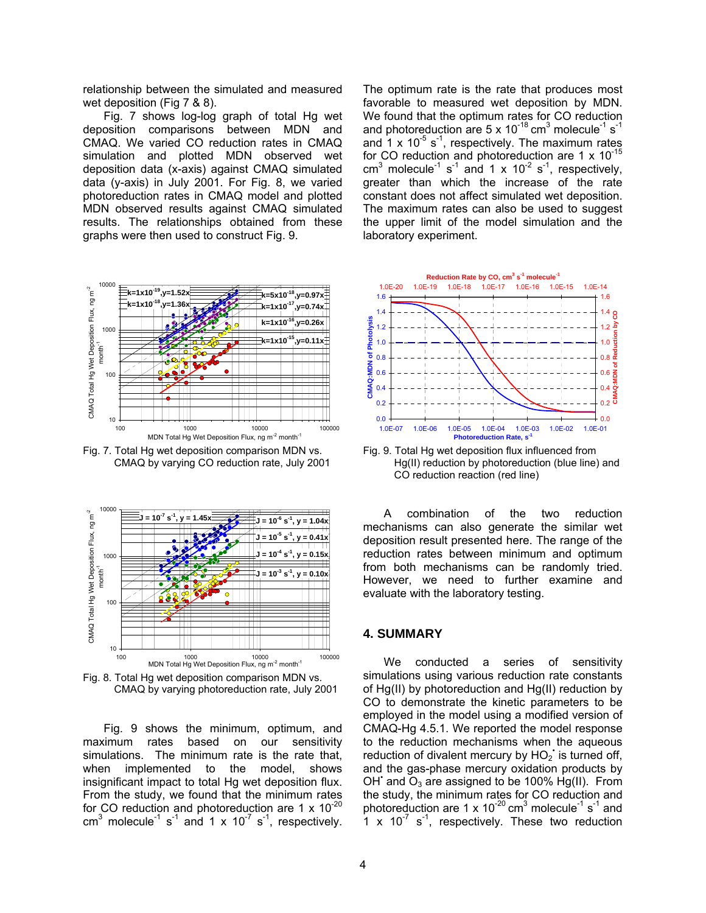relationship between the simulated and measured wet deposition (Fig 7 & 8).

Fig. 7 shows log-log graph of total Hg wet deposition comparisons between MDN and CMAQ. We varied CO reduction rates in CMAQ simulation and plotted MDN observed wet deposition data (x-axis) against CMAQ simulated data (y-axis) in July 2001. For Fig. 8, we varied photoreduction rates in CMAQ model and plotted MDN observed results against CMAQ simulated results. The relationships obtained from these graphs were then used to construct Fig. 9.



Fig. 7. Total Hg wet deposition comparison MDN vs. CMAQ by varying CO reduction rate, July 2001



Fig. 8. Total Hg wet deposition comparison MDN vs. CMAQ by varying photoreduction rate, July 2001

Fig. 9 shows the minimum, optimum, and maximum rates based on our sensitivity simulations. The minimum rate is the rate that, when implemented to the model, shows insignificant impact to total Hg wet deposition flux. From the study, we found that the minimum rates for CO reduction and photoreduction are 1  $\times$  10<sup>-20</sup> cm<sup>3</sup> molecule<sup>-1</sup> s<sup>-1</sup> and 1 x 10<sup>-7</sup> s<sup>-1</sup>, respectively. The optimum rate is the rate that produces most favorable to measured wet deposition by MDN. We found that the optimum rates for CO reduction and photoreduction are 5 x 10<sup>-18</sup> cm<sup>3</sup> molecule<sup>-1</sup> s<sup>-1</sup> and  $1 \times 10^{-5}$  s<sup>-1</sup>, respectively. The maximum rates for CO reduction and photoreduction are  $1 \times 10^{-15}$ cm<sup>3</sup> molecule<sup>-1</sup> s<sup>-1</sup> and 1 x 10<sup>-2</sup> s<sup>-1</sup>, respectively, greater than which the increase of the rate constant does not affect simulated wet deposition. The maximum rates can also be used to suggest the upper limit of the model simulation and the laboratory experiment.



Fig. 9. Total Hg wet deposition flux influenced from Hg(II) reduction by photoreduction (blue line) and CO reduction reaction (red line)

A combination of the two reduction mechanisms can also generate the similar wet deposition result presented here. The range of the reduction rates between minimum and optimum from both mechanisms can be randomly tried. However, we need to further examine and evaluate with the laboratory testing.

#### **4. SUMMARY**

We conducted a series of sensitivity simulations using various reduction rate constants of Hg(II) by photoreduction and Hg(II) reduction by CO to demonstrate the kinetic parameters to be employed in the model using a modified version of CMAQ-Hg 4.5.1. We reported the model response to the reduction mechanisms when the aqueous reduction of divalent mercury by  $HO_2$  is turned off, and the gas-phase mercury oxidation products by OH and  $O_3$  are assigned to be 100% Hg(II). From the study, the minimum rates for CO reduction and photoreduction are 1 x  $10^{-20}$  cm<sup>3</sup> molecule<sup>-1</sup> s<sup>-1</sup> and  $1 \times 10^{-7}$  s<sup>-1</sup>, respectively. These two reduction